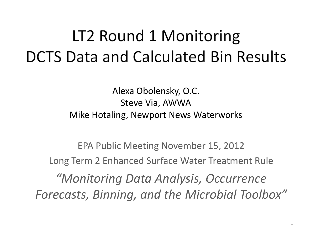# LT2 Round 1 Monitoring **DCTS Data and Calculated Bin Results**

Alexa Obolensky, O.C. Steve Via, AWWA Mike Hotaling, Newport News Waterworks

EPA Public Meeting November 15, 2012 Long Term 2 Enhanced Surface Water Treatment Rule *"Monitoring Data Analysis, Occurrence Forecasts, Binning, and the Microbial Toolbox"*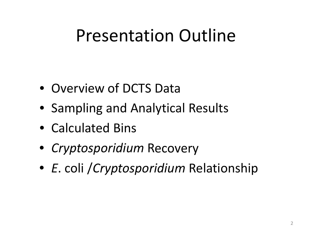# Presentation Outline

- Overview of DCTS Data
- Sampling and Analytical Results
- Calculated Bins
- *Cryptosporidium* Recovery
- *E*. coli /*Cryptosporidium* Relationship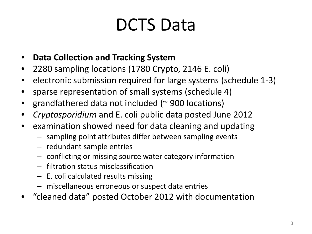# DCTS Data

- **Data Collection and Tracking System**
- 2280 sampling locations (1780 Crypto, 2146 E. coli)
- electronic submission required for large systems (schedule 1-3)
- sparse representation of small systems (schedule 4)
- grandfathered data not included ( $\sim$  900 locations)
- *Cryptosporidium* and E. coli public data posted June 2012
- examination showed need for data cleaning and updating
	- sampling point attributes differ between sampling events
	- redundant sample entries
	- conflicting or missing source water category information
	- filtration status misclassification
	- E. coli calculated results missing
	- miscellaneous erroneous or suspect data entries
- "cleaned data" posted October 2012 with documentation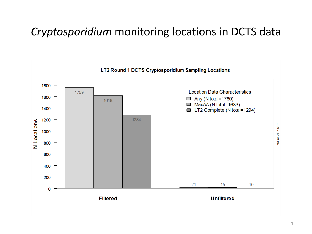### *Cryptosporidium* monitoring locations in DCTS data

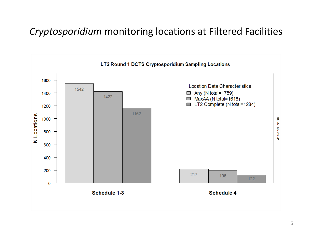#### *Cryptosporidium* monitoring locations at Filtered Facilities

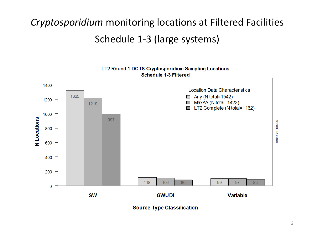## *Cryptosporidium* monitoring locations at Filtered Facilities Schedule 1-3 (large systems)

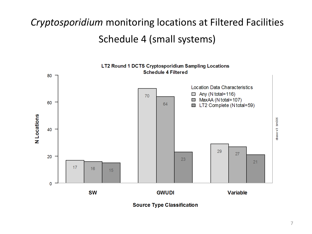## *Cryptosporidium* monitoring locations at Filtered Facilities Schedule 4 (small systems)

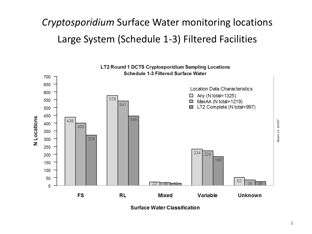## *Cryptosporidium* Surface Water monitoring locations Large System (Schedule 1-3) Filtered Facilities

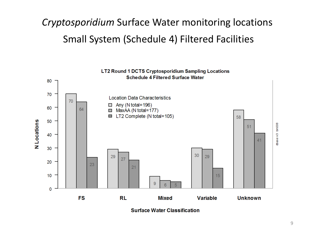## *Cryptosporidium* Surface Water monitoring locations Small System (Schedule 4) Filtered Facilities

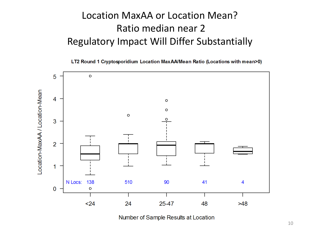#### Location MaxAA or Location Mean? Ratio median near 2 Regulatory Impact Will Differ Substantially

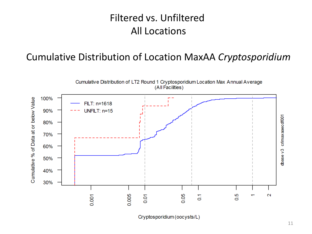#### Filtered vs. Unfiltered All Locations

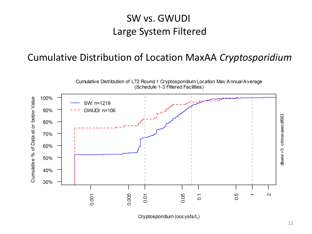#### SW vs. GWUDI Large System Filtered

![](_page_11_Figure_2.jpeg)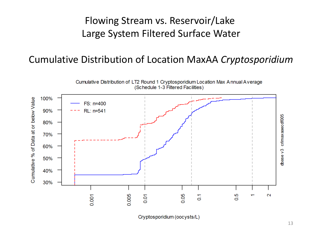#### Flowing Stream vs. Reservoir/Lake Large System Filtered Surface Water

![](_page_12_Figure_2.jpeg)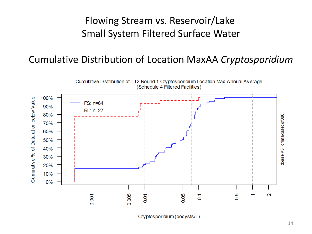#### Flowing Stream vs. Reservoir/Lake Small System Filtered Surface Water

![](_page_13_Figure_2.jpeg)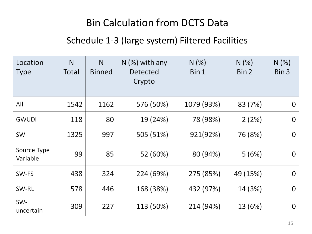#### Bin Calculation from DCTS Data

#### Schedule 1-3 (large system) Filtered Facilities

| Location<br><b>Type</b> | N<br>Total | N<br><b>Binned</b> | $N$ (%) with any<br>Detected<br>Crypto | N(%)<br>Bin 1 | N(% )<br>Bin 2 | N(%)<br>Bin 3 |
|-------------------------|------------|--------------------|----------------------------------------|---------------|----------------|---------------|
| All                     | 1542       | 1162               | 576 (50%)                              | 1079 (93%)    | 83 (7%)        | 0             |
| <b>GWUDI</b>            | 118        | 80                 | 19 (24%)                               | 78 (98%)      | 2(2%)          | 0             |
| SW                      | 1325       | 997                | 505 (51%)                              | 921(92%)      | 76 (8%)        | 0             |
| Source Type<br>Variable | 99         | 85                 | 52 (60%)                               | 80 (94%)      | 5(6%)          | 0             |
| SW-FS                   | 438        | 324                | 224 (69%)                              | 275 (85%)     | 49 (15%)       | 0             |
| SW-RL                   | 578        | 446                | 168 (38%)                              | 432 (97%)     | 14 (3%)        | 0             |
| SW-<br>uncertain        | 309        | 227                | 113 (50%)                              | 214 (94%)     | 13 (6%)        | 0             |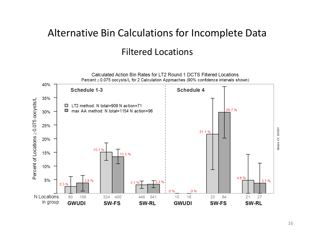## Alternative Bin Calculations for Incomplete Data Filtered Locations

![](_page_15_Figure_1.jpeg)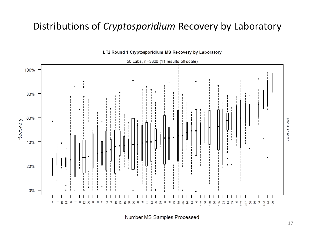#### Distributions of *Cryptosporidium* Recovery by Laboratory

![](_page_16_Figure_1.jpeg)

LT2 Round 1 Cryptosporidium MS Recovery by Laboratory

50 Labs, n=3320 (11 results off-scale)

Number MS Samples Processed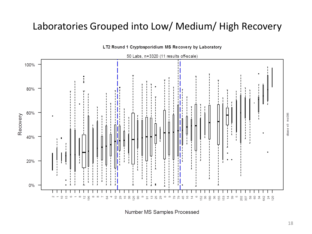#### Laboratories Grouped into Low/ Medium/ High Recovery

![](_page_17_Figure_1.jpeg)

LT2 Round 1 Cryptosporidium MS Recovery by Laboratory

Number MS Samples Processed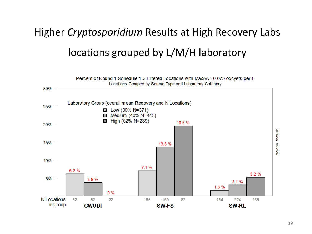## Higher *Cryptosporidium* Results at High Recovery Labs locations grouped by L/M/H laboratory

![](_page_18_Figure_1.jpeg)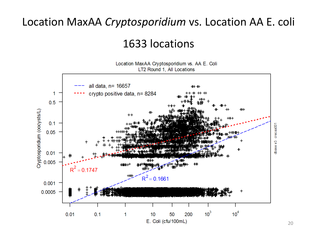#### Location MaxAA *Cryptosporidium* vs. Location AA E. coli

1633 locations

![](_page_19_Figure_2.jpeg)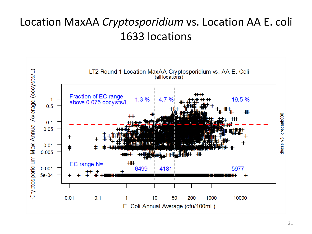### Location MaxAA *Cryptosporidium* vs. Location AA E. coli 1633 locations

![](_page_20_Figure_1.jpeg)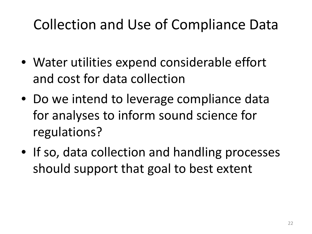## Collection and Use of Compliance Data

- Water utilities expend considerable effort and cost for data collection
- Do we intend to leverage compliance data for analyses to inform sound science for regulations?
- If so, data collection and handling processes should support that goal to best extent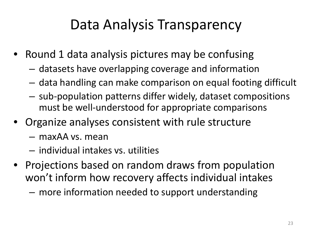## Data Analysis Transparency

- Round 1 data analysis pictures may be confusing
	- datasets have overlapping coverage and information
	- data handling can make comparison on equal footing difficult
	- sub-population patterns differ widely, dataset compositions must be well-understood for appropriate comparisons
- Organize analyses consistent with rule structure
	- maxAA vs. mean
	- individual intakes vs. utilities
- Projections based on random draws from population won't inform how recovery affects individual intakes – more information needed to support understanding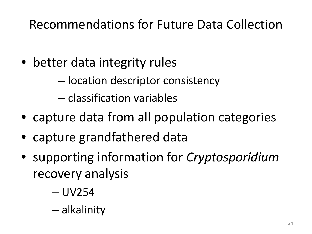## Recommendations for Future Data Collection

• better data integrity rules

– location descriptor consistency

– classification variables

- capture data from all population categories
- capture grandfathered data
- supporting information for *Cryptosporidium* recovery analysis
	- UV254
	- alkalinity